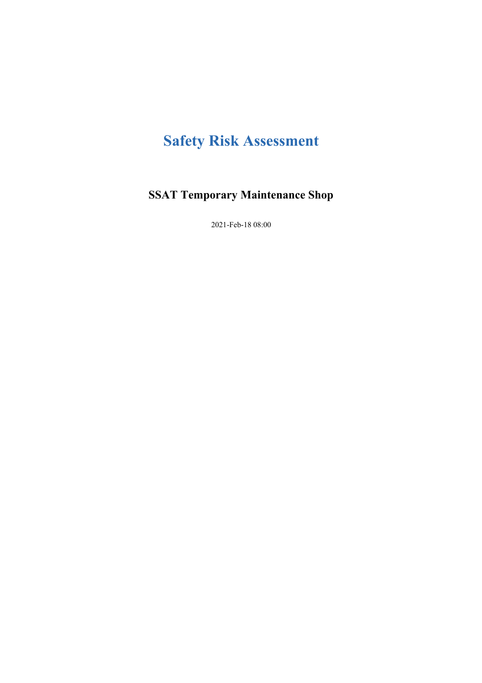# **Safety Risk Assessment**

# **SSAT Temporary Maintenance Shop**

2021-Feb-18 08:00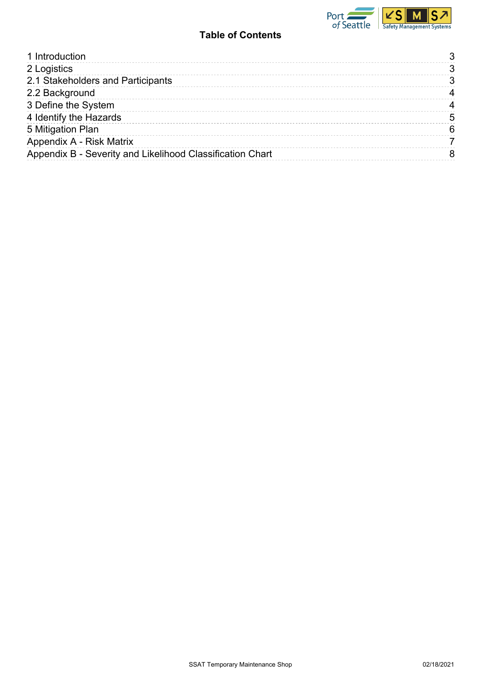

## **Table of Contents**

| 1 Introduction                                            |   |
|-----------------------------------------------------------|---|
| 2 Logistics                                               |   |
| 2.1 Stakeholders and Participants                         |   |
| 2.2 Background                                            |   |
| 3 Define the System                                       |   |
| 4 Identify the Hazards                                    | 5 |
| 5 Mitigation Plan                                         |   |
| Appendix A - Risk Matrix                                  |   |
| Appendix B - Severity and Likelihood Classification Chart |   |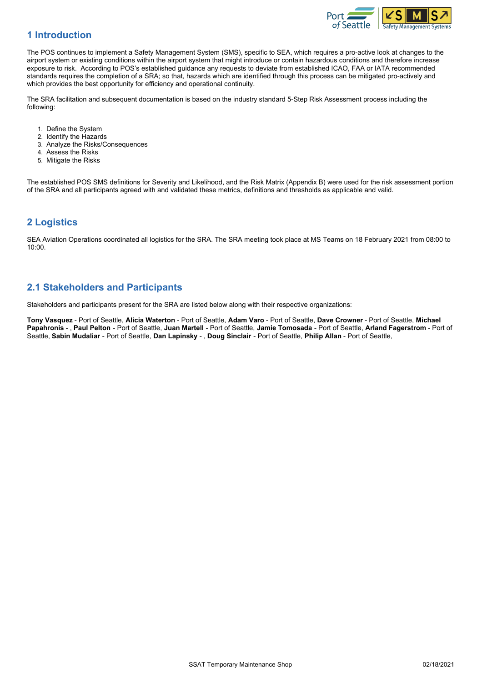

#### <span id="page-2-0"></span>**1 Introduction**

The POS continues to implement a Safety Management System (SMS), specific to SEA, which requires a pro-active look at changes to the airport system or existing conditions within the airport system that might introduce or contain hazardous conditions and therefore increase exposure to risk. According to POS's established guidance any requests to deviate from established ICAO, FAA or IATA recommended standards requires the completion of a SRA; so that, hazards which are identified through this process can be mitigated pro-actively and which provides the best opportunity for efficiency and operational continuity.

The SRA facilitation and subsequent documentation is based on the industry standard 5-Step Risk Assessment process including the following:

- 1. Define the System
- 2. Identify the Hazards
- 3. Analyze the Risks/Consequences
- 4. Assess the Risks
- 5. Mitigate the Risks

The established POS SMS definitions for Severity and Likelihood, and the Risk Matrix (Appendix B) were used for the risk assessment portion of the SRA and all participants agreed with and validated these metrics, definitions and thresholds as applicable and valid.

#### <span id="page-2-1"></span>**2 Logistics**

SEA Aviation Operations coordinated all logistics for the SRA. The SRA meeting took place at MS Teams on 18 February 2021 from 08:00 to 10:00.

#### <span id="page-2-2"></span>**2.1 Stakeholders and Participants**

Stakeholders and participants present for the SRA are listed below along with their respective organizations:

**Tony Vasquez** - Port of Seattle, **Alicia Waterton** - Port of Seattle, **Adam Varo** - Port of Seattle, **Dave Crowner** - Port of Seattle, **Michael Papahronis** - , **Paul Pelton** - Port of Seattle, **Juan Martell** - Port of Seattle, **Jamie Tomosada** - Port of Seattle, **Arland Fagerstrom** - Port of Seattle, **Sabin Mudaliar** - Port of Seattle, **Dan Lapinsky** - , **Doug Sinclair** - Port of Seattle, **Philip Allan** - Port of Seattle,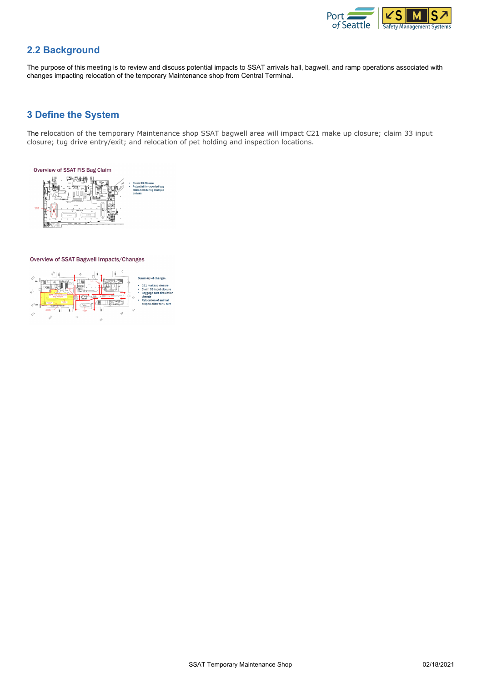

#### <span id="page-3-0"></span>**2.2 Background**

The purpose of this meeting is to review and discuss potential impacts to SSAT arrivals hall, bagwell, and ramp operations associated with changes impacting relocation of the temporary Maintenance shop from Central Terminal.

#### <span id="page-3-1"></span>**3 Define the System**

The relocation of the temporary Maintenance shop SSAT bagwell area will impact C21 make up closure; claim 33 input closure; tug drive entry/exit; and relocation of pet holding and inspection locations.



#### Overview of SSAT Bagwell Impacts/Changes

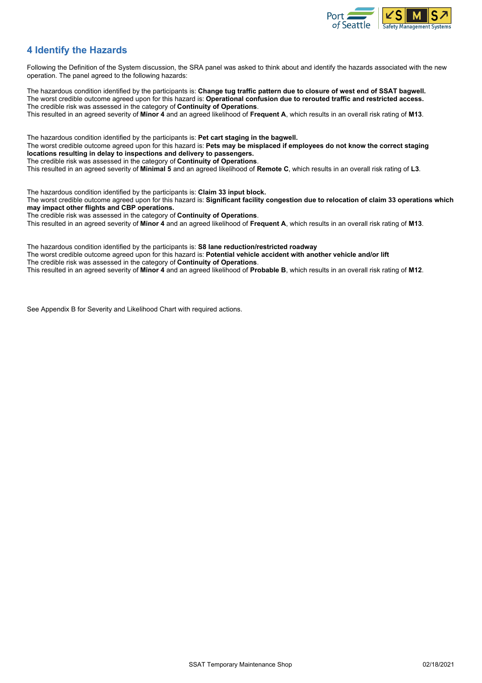

#### <span id="page-4-0"></span>**4 Identify the Hazards**

Following the Definition of the System discussion, the SRA panel was asked to think about and identify the hazards associated with the new operation. The panel agreed to the following hazards:

The hazardous condition identified by the participants is: **Change tug traffic pattern due to closure of west end of SSAT bagwell.** The worst credible outcome agreed upon for this hazard is: **Operational confusion due to rerouted traffic and restricted access.** The credible risk was assessed in the category of **Continuity of Operations**.

This resulted in an agreed severity of **Minor 4** and an agreed likelihood of **Frequent A**, which results in an overall risk rating of **M13**.

The hazardous condition identified by the participants is: **Pet cart staging in the bagwell.** The worst credible outcome agreed upon for this hazard is: **Pets may be misplaced if employees do not know the correct staging locations resulting in delay to inspections and delivery to passengers.** The credible risk was assessed in the category of **Continuity of Operations**.

This resulted in an agreed severity of **Minimal 5** and an agreed likelihood of **Remote C**, which results in an overall risk rating of **L3**.

The hazardous condition identified by the participants is: **Claim 33 input block.** The worst credible outcome agreed upon for this hazard is: **Significant facility congestion due to relocation of claim 33 operations which may impact other flights and CBP operations.** The credible risk was assessed in the category of **Continuity of Operations**.

This resulted in an agreed severity of **Minor 4** and an agreed likelihood of **Frequent A**, which results in an overall risk rating of **M13**.

The hazardous condition identified by the participants is: **S8 lane reduction/restricted roadway** The worst credible outcome agreed upon for this hazard is: **Potential vehicle accident with another vehicle and/or lift** The credible risk was assessed in the category of **Continuity of Operations**. This resulted in an agreed severity of **Minor 4** and an agreed likelihood of **Probable B**, which results in an overall risk rating of **M12**.

See Appendix B for Severity and Likelihood Chart with required actions.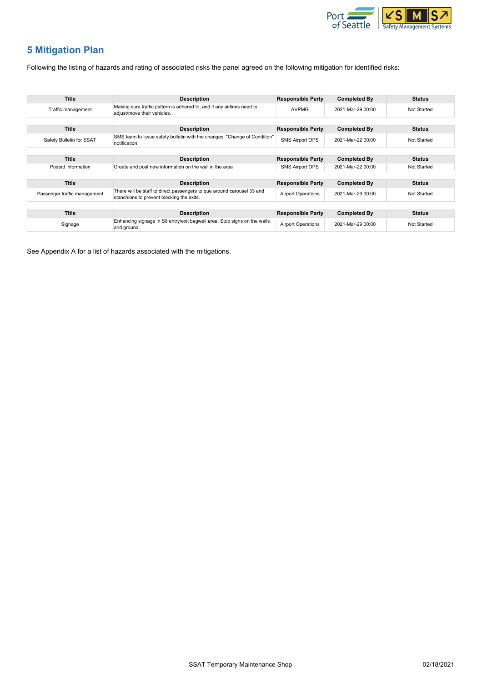

## <span id="page-5-0"></span>**5 Mitigation Plan**

Following the listing of hazards and rating of associated risks the panel agreed on the following mitigation for identified risks:

| <b>Title</b>                 | <b>Description</b>                                                                                                  | <b>Responsible Party</b> | <b>Completed By</b> | <b>Status</b> |
|------------------------------|---------------------------------------------------------------------------------------------------------------------|--------------------------|---------------------|---------------|
| Traffic management           | Making sure traffic pattern is adhered to; and if any airlines need to<br>adjust/move their vehicles.               | <b>AVPMG</b>             | 2021-Mar-29 00:00   | Not Started   |
|                              |                                                                                                                     |                          |                     |               |
| <b>Title</b>                 | <b>Description</b>                                                                                                  | <b>Responsible Party</b> | <b>Completed By</b> | <b>Status</b> |
| Safety Bulletin for SSAT     | SMS team to issue safety bulletin with the changes. "Change of Condition"<br>notification                           | <b>SMS Airport OPS</b>   | 2021-Mar-22 00:00   | Not Started   |
|                              |                                                                                                                     |                          |                     |               |
| <b>Title</b>                 | <b>Description</b>                                                                                                  | <b>Responsible Party</b> | <b>Completed By</b> | <b>Status</b> |
| Posted information           | Create and post new information on the wall in the area                                                             | <b>SMS Airport OPS</b>   | 2021-Mar-22 00:00   | Not Started   |
|                              |                                                                                                                     |                          |                     |               |
| <b>Title</b>                 | <b>Description</b>                                                                                                  | <b>Responsible Party</b> | <b>Completed By</b> | <b>Status</b> |
| Passenger traffic management | There will be staff to direct passengers to que around carousel 33 and<br>stanchions to prevent blocking the exits. |                          | 2021-Mar-29 00:00   | Not Started   |
|                              |                                                                                                                     |                          |                     |               |
| <b>Title</b>                 | <b>Description</b>                                                                                                  | <b>Responsible Party</b> | <b>Completed By</b> | <b>Status</b> |
| Signage                      | Enhancing signage in S8 entry/exit bagwell area. Stop signs on the walls<br>and ground.                             |                          | 2021-Mar-29 00:00   | Not Started   |

See Appendix A for a list of hazards associated with the mitigations.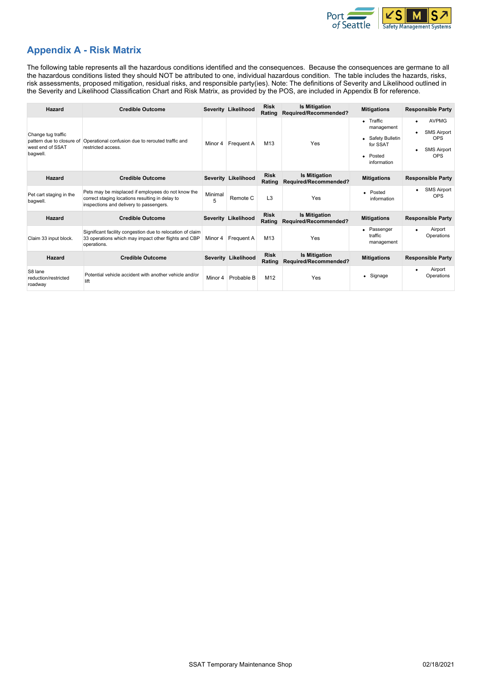

#### <span id="page-6-0"></span>**Appendix A - Risk Matrix**

The following table represents all the hazardous conditions identified and the consequences. Because the consequences are germane to all the hazardous conditions listed they should NOT be attributed to one, individual hazardous condition. The table includes the hazards, risks, risk assessments, proposed mitigation, residual risks, and responsible party(ies). Note: The definitions of Severity and Likelihood outlined in the Severity and Likelihood Classification Chart and Risk Matrix, as provided by the POS, are included in Appendix B for reference.

| Hazard                                                                          | <b>Credible Outcome</b>                                                                                                                          |              | Severity Likelihood | <b>Risk</b><br>Rating | <b>Is Mitigation</b><br>Required/Recommended? | <b>Mitigations</b>                                                                          | <b>Responsible Party</b>                                                                          |
|---------------------------------------------------------------------------------|--------------------------------------------------------------------------------------------------------------------------------------------------|--------------|---------------------|-----------------------|-----------------------------------------------|---------------------------------------------------------------------------------------------|---------------------------------------------------------------------------------------------------|
| Change tug traffic<br>pattern due to closure of<br>west end of SSAT<br>bagwell. | Operational confusion due to rerouted traffic and<br>restricted access.                                                                          | Minor 4      | Frequent A          | M13                   | Yes                                           | $\bullet$ Traffic<br>management<br>• Safety Bulletin<br>for SSAT<br>• Posted<br>information | <b>AVPMG</b><br>$\bullet$<br><b>SMS Airport</b><br><b>OPS</b><br><b>SMS Airport</b><br><b>OPS</b> |
| Hazard                                                                          | <b>Credible Outcome</b>                                                                                                                          |              | Severity Likelihood | <b>Risk</b><br>Rating | <b>Is Mitigation</b><br>Required/Recommended? | <b>Mitigations</b>                                                                          | <b>Responsible Party</b>                                                                          |
| Pet cart staging in the<br>bagwell.                                             | Pets may be misplaced if employees do not know the<br>correct staging locations resulting in delay to<br>inspections and delivery to passengers. | Minimal<br>5 | Remote C            | L <sub>3</sub>        | Yes                                           | • Posted<br>information                                                                     | <b>SMS Airport</b><br>٠<br><b>OPS</b>                                                             |
| Hazard                                                                          | <b>Credible Outcome</b>                                                                                                                          |              | Severity Likelihood | <b>Risk</b><br>Rating | <b>Is Mitigation</b><br>Required/Recommended? | <b>Mitigations</b>                                                                          | <b>Responsible Party</b>                                                                          |
| Claim 33 input block.                                                           | Significant facility congestion due to relocation of claim<br>33 operations which may impact other flights and CBP<br>operations.                | Minor 4      | <b>Frequent A</b>   | M13                   | Yes                                           | • Passenger<br>traffic<br>management                                                        | Airport<br>٠<br>Operations                                                                        |
| Hazard                                                                          | <b>Credible Outcome</b>                                                                                                                          |              | Severity Likelihood | <b>Risk</b><br>Rating | <b>Is Mitigation</b><br>Required/Recommended? | <b>Mitigations</b>                                                                          | <b>Responsible Party</b>                                                                          |
| S8 lane<br>reduction/restricted<br>roadway                                      | Potential vehicle accident with another vehicle and/or<br>lift                                                                                   | Minor 4      | Probable B          | M12                   | Yes                                           | • Signage                                                                                   | Airport<br>٠<br>Operations                                                                        |